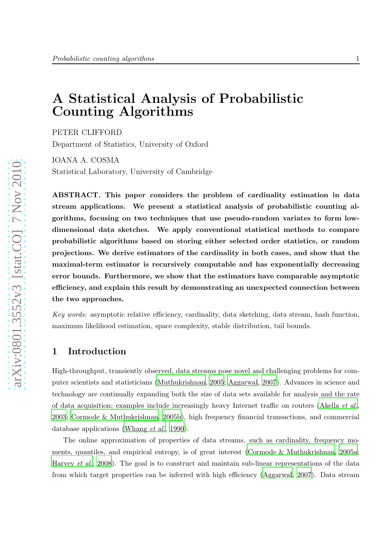# A Statistical Analysis of Probabilistic Counting Algorithms

PETER CLIFFORD

Department of Statistics, University of Oxford

IOANA A. COSMA Statistical Laboratory, University of Cambridge

ABSTRACT. This paper considers the problem of cardinality estimation in data stream applications. We present a statistical analysis of probabilistic counting algorithms, focusing on two techniques that use pseudo-random variates to form lowdimensional data sketches. We apply conventional statistical methods to compare probabilistic algorithms based on storing either selected order statistics, or random projections. We derive estimators of the cardinality in both cases, and show that the maximal-term estimator is recursively computable and has exponentially decreasing error bounds. Furthermore, we show that the estimators have comparable asymptotic efficiency, and explain this result by demonstrating an unexpected connection between the two approaches.

Key words: asymptotic relative efficiency, cardinality, data sketching, data stream, hash function, maximum likelihood estimation, space complexity, stable distribution, tail bounds.

# 1 Introduction

High-throughput, transiently observed, data streams pose novel and challenging problems for computer scientists and statisticians [\(Muthukrishnan, 2005](#page-18-0); [Aggarwal](#page-15-0), [2007](#page-15-0)). Advances in science and technology are continually expanding both the size of data sets available for analysis and the rate of data acquisition; examples include increasingly heavy Internet traffic on routers [\(Akella](#page-15-1) et al., [2003](#page-15-1); [Cormode & Muthukrishnan, 2005b\)](#page-16-0), high frequency financial transactions, and commercial database applications [\(Whang](#page-18-1) *et al.*, [1990](#page-18-1)).

The online approximation of properties of data streams, such as cardinality, frequency moments, quantiles, and empirical entropy, is of great interest (Cormode  $\&$  Muthukrishnan, 2005a; [Harvey](#page-17-0) *et al.*, [2008](#page-17-0)). The goal is to construct and maintain sub-linear representations of the data from which target properties can be inferred with high efficiency [\(Aggarwal, 2007\)](#page-15-0). Data stream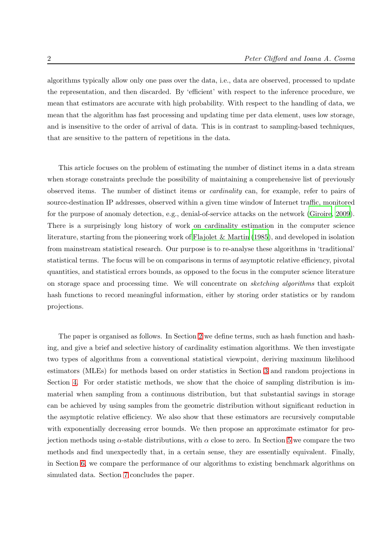algorithms typically allow only one pass over the data, i.e., data are observed, processed to update the representation, and then discarded. By 'efficient' with respect to the inference procedure, we mean that estimators are accurate with high probability. With respect to the handling of data, we mean that the algorithm has fast processing and updating time per data element, uses low storage, and is insensitive to the order of arrival of data. This is in contrast to sampling-based techniques, that are sensitive to the pattern of repetitions in the data.

This article focuses on the problem of estimating the number of distinct items in a data stream when storage constraints preclude the possibility of maintaining a comprehensive list of previously observed items. The number of distinct items or cardinality can, for example, refer to pairs of source-destination IP addresses, observed within a given time window of Internet traffic, monitored for the purpose of anomaly detection, e.g., denial-of-service attacks on the network [\(Giroire](#page-17-1), [2009\)](#page-17-1). There is a surprisingly long history of work on cardinality estimation in the computer science literature, starting from the pioneering work of [Flajolet &](#page-17-2) Martin [\(1985](#page-17-2)), and developed in isolation from mainstream statistical research. Our purpose is to re-analyse these algorithms in 'traditional' statistical terms. The focus will be on comparisons in terms of asymptotic relative efficiency, pivotal quantities, and statistical errors bounds, as opposed to the focus in the computer science literature on storage space and processing time. We will concentrate on sketching algorithms that exploit hash functions to record meaningful information, either by storing order statistics or by random projections.

The paper is organised as follows. In Section [2](#page-2-0) we define terms, such as hash function and hashing, and give a brief and selective history of cardinality estimation algorithms. We then investigate two types of algorithms from a conventional statistical viewpoint, deriving maximum likelihood estimators (MLEs) for methods based on order statistics in Section [3](#page-4-0) and random projections in Section [4.](#page-10-0) For order statistic methods, we show that the choice of sampling distribution is immaterial when sampling from a continuous distribution, but that substantial savings in storage can be achieved by using samples from the geometric distribution without significant reduction in the asymptotic relative efficiency. We also show that these estimators are recursively computable with exponentially decreasing error bounds. We then propose an approximate estimator for projection methods using  $\alpha$ -stable distributions, with  $\alpha$  close to zero. In Section [5](#page-12-0) we compare the two methods and find unexpectedly that, in a certain sense, they are essentially equivalent. Finally, in Section [6,](#page-13-0) we compare the performance of our algorithms to existing benchmark algorithms on simulated data. Section [7](#page-14-0) concludes the paper.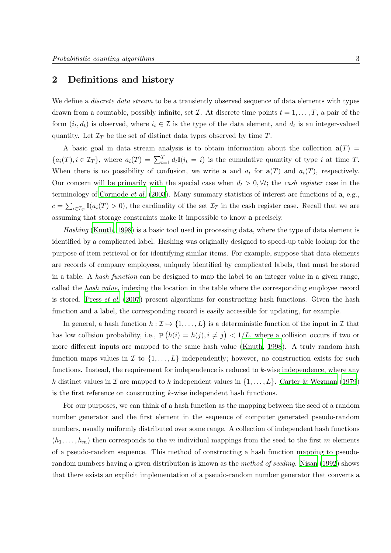# <span id="page-2-0"></span>2 Definitions and history

We define a *discrete data stream* to be a transiently observed sequence of data elements with types drawn from a countable, possibly infinite, set  $\mathcal I$ . At discrete time points  $t = 1, \ldots, T$ , a pair of the form  $(i_t, d_t)$  is observed, where  $i_t \in \mathcal{I}$  is the type of the data element, and  $d_t$  is an integer-valued quantity. Let  $\mathcal{I}_T$  be the set of distinct data types observed by time T.

A basic goal in data stream analysis is to obtain information about the collection  $a(T)$  ${a_i(T), i \in \mathcal{I}_T},$  where  $a_i(T) = \sum_{t=1}^T d_t \mathbb{I}(i_t = i)$  is the cumulative quantity of type i at time T. When there is no possibility of confusion, we write **a** and  $a_i$  for  $\mathbf{a}(T)$  and  $a_i(T)$ , respectively. Our concern will be primarily with the special case when  $d_t > 0, \forall t$ ; the cash register case in the terminology of [Cormode](#page-16-2) *et al.* [\(2003](#page-16-2)). Many summary statistics of interest are functions of  $\bf{a}$ , e.g.,  $c = \sum_{i \in \mathcal{I}_T} \mathbb{I}(a_i(T) > 0)$ , the cardinality of the set  $\mathcal{I}_T$  in the cash register case. Recall that we are assuming that storage constraints make it impossible to know a precisely.

Hashing [\(Knuth](#page-17-3), [1998](#page-17-3)) is a basic tool used in processing data, where the type of data element is identified by a complicated label. Hashing was originally designed to speed-up table lookup for the purpose of item retrieval or for identifying similar items. For example, suppose that data elements are records of company employees, uniquely identified by complicated labels, that must be stored in a table. A hash function can be designed to map the label to an integer value in a given range, called the hash value, indexing the location in the table where the corresponding employee record is stored. [Press](#page-18-2) *et al.* [\(2007\)](#page-18-2) present algorithms for constructing hash functions. Given the hash function and a label, the corresponding record is easily accessible for updating, for example.

In general, a hash function  $h : \mathcal{I} \to \{1, \ldots, L\}$  is a deterministic function of the input in  $\mathcal{I}$  that has low collision probability, i.e.,  $P(h(i) = h(j), i \neq j) < 1/L$ , where a collision occurs if two or more different inputs are mapped to the same hash value [\(Knuth,](#page-17-3) [1998\)](#page-17-3). A truly random hash function maps values in  $\mathcal I$  to  $\{1,\ldots,L\}$  independently; however, no construction exists for such functions. Instead, the requirement for independence is reduced to k-wise independence, where any k distinct values in  $\mathcal I$  are mapped to k independent values in  $\{1,\ldots,L\}$ . [Carter & Wegman \(1979\)](#page-16-3) is the first reference on constructing k-wise independent hash functions.

For our purposes, we can think of a hash function as the mapping between the seed of a random number generator and the first element in the sequence of computer generated pseudo-random numbers, usually uniformly distributed over some range. A collection of independent hash functions  $(h_1, \ldots, h_m)$  then corresponds to the m individual mappings from the seed to the first m elements of a pseudo-random sequence. This method of constructing a hash function mapping to pseudorandom numbers having a given distribution is known as the *method of seeding*. [Nisan \(1992](#page-18-3)) shows that there exists an explicit implementation of a pseudo-random number generator that converts a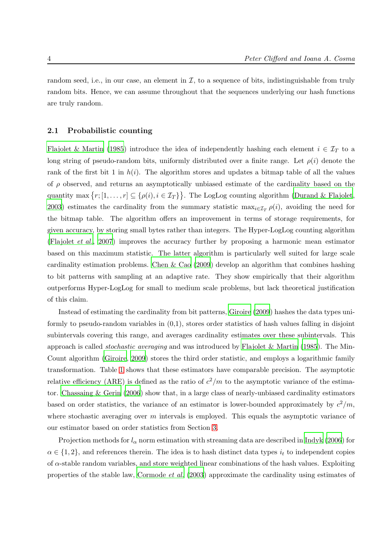random seed, i.e., in our case, an element in  $\mathcal{I}$ , to a sequence of bits, indistinguishable from truly random bits. Hence, we can assume throughout that the sequences underlying our hash functions are truly random.

### 2.1 Probabilistic counting

[Flajolet & Martin \(1985](#page-17-2)) introduce the idea of independently hashing each element  $i \in \mathcal{I}_T$  to a long string of pseudo-random bits, uniformly distributed over a finite range. Let  $\rho(i)$  denote the rank of the first bit 1 in  $h(i)$ . The algorithm stores and updates a bitmap table of all the values of  $\rho$  observed, and returns an asymptotically unbiased estimate of the cardinality based on the quantity max  $\{r; [1, \ldots, r] \subseteq \{\rho(i), i \in \mathcal{I}_T\}\}\.$  The LogLog counting algorithm [\(Durand & Flajolet](#page-16-4), [2003\)](#page-16-4) estimates the cardinality from the summary statistic  $\max_{i \in I_T} \rho(i)$ , avoiding the need for the bitmap table. The algorithm offers an improvement in terms of storage requirements, for given accuracy, by storing small bytes rather than integers. The Hyper-LogLog counting algorithm [\(Flajolet](#page-17-4) et al., [2007](#page-17-4)) improves the accuracy further by proposing a harmonic mean estimator based on this maximum statistic. The latter algorithm is particularly well suited for large scale cardinality estimation problems. Chen  $\&$  Cao (2009) develop an algorithm that combines hashing to bit patterns with sampling at an adaptive rate. They show empirically that their algorithm outperforms Hyper-LogLog for small to medium scale problems, but lack theoretical justification of this claim.

Instead of estimating the cardinality from bit patterns, [Giroire \(2009\)](#page-17-1) hashes the data types uniformly to pseudo-random variables in (0,1), stores order statistics of hash values falling in disjoint subintervals covering this range, and averages cardinality estimates over these subintervals. This approach is called *stochastic averaging* and was introduced by [Flajolet & Martin \(1985](#page-17-2)). The Min-Count algorithm [\(Giroire, 2009](#page-17-1)) stores the third order statistic, and employs a logarithmic family transformation. Table [1](#page-4-1) shows that these estimators have comparable precision. The asymptotic relative efficiency (ARE) is defined as the ratio of  $c^2/m$  to the asymptotic variance of the estimator. [Chassaing & Gerin \(2006](#page-16-6)) show that, in a large class of nearly-unbiased cardinality estimators based on order statistics, the variance of an estimator is lower-bounded approximately by  $c^2/m$ , where stochastic averaging over  $m$  intervals is employed. This equals the asymptotic variance of our estimator based on order statistics from Section [3.](#page-4-0)

Projection methods for  $l_{\alpha}$  norm estimation with streaming data are described in [Indyk \(2006](#page-17-5)) for  $\alpha \in \{1,2\}$ , and references therein. The idea is to hash distinct data types  $i_t$  to independent copies of  $\alpha$ -stable random variables, and store weighted linear combinations of the hash values. Exploiting properties of the stable law, [Cormode](#page-16-2) et al. [\(2003](#page-16-2)) approximate the cardinality using estimates of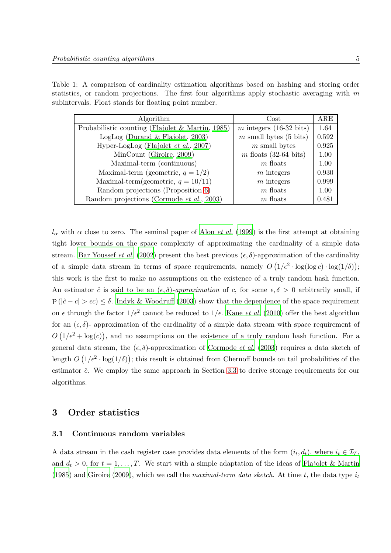| Table 1: A comparison of cardinality estimation algorithms based on hashing and storing order    |  |  |  |  |
|--------------------------------------------------------------------------------------------------|--|--|--|--|
| statistics, or random projections. The first four algorithms apply stochastic averaging with $m$ |  |  |  |  |
| subintervals. Float stands for floating point number.                                            |  |  |  |  |

<span id="page-4-1"></span>

| Algorithm                                           | $\cos t$                  | $_{\rm ARE}$ |
|-----------------------------------------------------|---------------------------|--------------|
| Probabilistic counting (Flajolet $\&$ Martin, 1985) | $m$ integers (16-32 bits) | 1.64         |
| LogLog (Durand $\&$ Flajolet, 2003)                 | $m$ small bytes (5 bits)  | 0.592        |
| Hyper-LogLog (Flajolet $et al., 2007$ )             | $m$ small bytes           | 0.925        |
| MinCount (Giroire, 2009)                            | $m$ floats (32-64 bits)   | 1.00         |
| Maximal-term (continuous)                           | $m$ floats                | 1.00         |
| Maximal-term (geometric, $q = 1/2$ )                | $m$ integers              | 0.930        |
| Maximal-term(geometric, $q = 10/11$ )               | $m$ integers              | 0.999        |
| Random projections (Proposition 6)                  | $m$ floats                | 1.00         |
| Random projections (Cormode et al., 2003)           | $m$ floats                | 0.481        |

 $l_{\alpha}$  with  $\alpha$  close to zero. The seminal paper of Alon *[et al.](#page-16-7)* [\(1999](#page-16-7)) is the first attempt at obtaining tight lower bounds on the space complexity of approximating the cardinality of a simple data stream. [Bar Youssef](#page-16-8) *et al.* [\(2002\)](#page-16-8) present the best previous  $(\epsilon, \delta)$ -approximation of the cardinality of a simple data stream in terms of space requirements, namely  $O(1/\epsilon^2 \cdot \log(\log c) \cdot \log(1/\delta));$ this work is the first to make no assumptions on the existence of a truly random hash function. An estimator  $\hat{c}$  is said to be an  $(\epsilon, \delta)$ -approximation of c, for some  $\epsilon, \delta > 0$  arbitrarily small, if  $P(|\hat{c} - c| > \epsilon c) \leq \delta$ . [Indyk & Woodruff \(2003](#page-17-6)) show that the dependence of the space requirement on  $\epsilon$  through the factor  $1/\epsilon^2$  cannot be reduced to  $1/\epsilon$ . [Kane](#page-17-7) *et al.* [\(2010](#page-17-7)) offer the best algorithm for an  $(\epsilon, \delta)$ - approximation of the cardinality of a simple data stream with space requirement of  $O(1/\epsilon^2 + \log(c))$ , and no assumptions on the existence of a truly random hash function. For a general data stream, the  $(\epsilon, \delta)$ -approximation of [Cormode](#page-16-2) et al. [\(2003](#page-16-2)) requires a data sketch of length  $O(1/\epsilon^2 \cdot \log(1/\delta))$ ; this result is obtained from Chernoff bounds on tail probabilities of the estimator  $\hat{c}$ . We employ the same approach in Section [3.3](#page-9-0) to derive storage requirements for our algorithms.

### <span id="page-4-2"></span><span id="page-4-0"></span>3 Order statistics

### 3.1 Continuous random variables

A data stream in the cash register case provides data elements of the form  $(i_t, d_t)$ , where  $i_t \in \mathcal{I}_T$ , and  $d_t > 0$ , for  $t = 1, \ldots, T$ . We start with a simple adaptation of the ideas of [Flajolet & Martin](#page-17-2) [\(1985](#page-17-2)) and [Giroire \(2009](#page-17-1)), which we call the maximal-term data sketch. At time t, the data type  $i_t$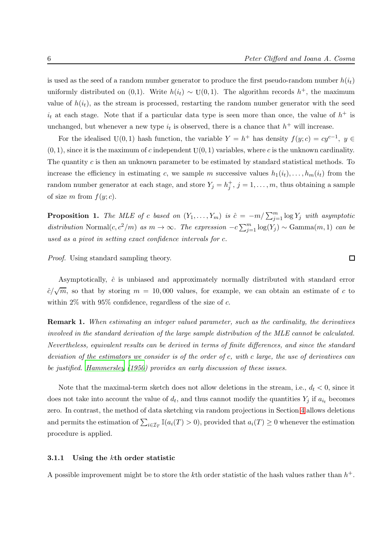is used as the seed of a random number generator to produce the first pseudo-random number  $h(i_t)$ uniformly distributed on (0,1). Write  $h(i_t) \sim U(0, 1)$ . The algorithm records  $h^+$ , the maximum value of  $h(i_t)$ , as the stream is processed, restarting the random number generator with the seed  $i_t$  at each stage. Note that if a particular data type is seen more than once, the value of  $h^+$  is unchanged, but whenever a new type  $i_t$  is observed, there is a chance that  $h^+$  will increase.

For the idealised U(0, 1) hash function, the variable  $Y = h^+$  has density  $f(y; c) = cy^{c-1}$ ,  $y \in$  $(0, 1)$ , since it is the maximum of c independent  $U(0, 1)$  variables, where c is the unknown cardinality. The quantity c is then an unknown parameter to be estimated by standard statistical methods. To increase the efficiency in estimating c, we sample m successive values  $h_1(i_t), \ldots, h_m(i_t)$  from the random number generator at each stage, and store  $Y_j = h_j^+, j = 1, \ldots, m$ , thus obtaining a sample of size m from  $f(y; c)$ .

<span id="page-5-0"></span>**Proposition 1.** The MLE of c based on  $(Y_1, \ldots, Y_m)$  is  $\hat{c} = -m/\sum_{j=1}^m \log Y_j$  with asymptotic distribution Normal $(c, c^2/m)$  as  $m \to \infty$ . The expression  $-c \sum_{j=1}^{m} \log(Y_j) \sim \text{Gamma}(m, 1)$  can be used as a pivot in setting exact confidence intervals for c.

Proof. Using standard sampling theory.

Asymptotically,  $\hat{c}$  is unbiased and approximately normally distributed with standard error  $\hat{c}/\sqrt{m}$ , so that by storing  $m = 10,000$  values, for example, we can obtain an estimate of c to within  $2\%$  with  $95\%$  confidence, regardless of the size of c.

Remark 1. When estimating an integer valued parameter, such as the cardinality, the derivatives involved in the standard derivation of the large sample distribution of the MLE cannot be calculated. Nevertheless, equivalent results can be derived in terms of finite differences, and since the standard deviation of the estimators we consider is of the order of c, with c large, the use of derivatives can be justified. [Hammersley \(1950\)](#page-17-8) provides an early discussion of these issues.

Note that the maximal-term sketch does not allow deletions in the stream, i.e.,  $d_t < 0$ , since it does not take into account the value of  $d_t$ , and thus cannot modify the quantities  $Y_j$  if  $a_{i_t}$  becomes zero. In contrast, the method of data sketching via random projections in Section [4](#page-10-0) allows deletions and permits the estimation of  $\sum_{i\in\mathcal{I}_T}\mathbb{I}(a_i(T)>0)$ , provided that  $a_i(T)\geq 0$  whenever the estimation procedure is applied.

#### 3.1.1 Using the kth order statistic

A possible improvement might be to store the kth order statistic of the hash values rather than  $h^+$ .

 $\Box$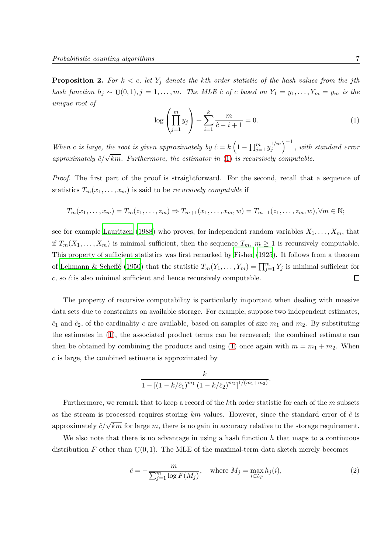**Proposition 2.** For  $k < c$ , let  $Y_j$  denote the kth order statistic of the hash values from the jth hash function  $h_j \sim U(0,1), j = 1, \ldots, m$ . The MLE  $\hat{c}$  of c based on  $Y_1 = y_1, \ldots, Y_m = y_m$  is the unique root of

<span id="page-6-0"></span>
$$
\log\left(\prod_{j=1}^{m} y_j\right) + \sum_{i=1}^{k} \frac{m}{\hat{c} - i + 1} = 0.
$$
 (1)

When c is large, the root is given approximately by  $\hat{c} = k \left(1 - \prod_{j=1}^m y_j^{1/m}\right)$  $\binom{1/m}{j}^{-1}$ , with standard error approximately  $\hat{c}/\sqrt{km}$ . Furthermore, the estimator in [\(1\)](#page-6-0) is recursively computable.

Proof. The first part of the proof is straightforward. For the second, recall that a sequence of statistics  $T_m(x_1, \ldots, x_m)$  is said to be *recursively computable* if

$$
T_m(x_1,\ldots,x_m)=T_m(z_1,\ldots,z_m)\Rightarrow T_{m+1}(x_1,\ldots,x_m,w)=T_{m+1}(z_1,\ldots,z_m,w), \forall m\in\mathbb{N};
$$

see for example [Lauritzen \(1988](#page-17-9)) who proves, for independent random variables  $X_1, \ldots, X_m$ , that if  $T_m(X_1,\ldots,X_m)$  is minimal sufficient, then the sequence  $T_m$ ,  $m\geq 1$  is recursively computable. This property of sufficient statistics was first remarked by [Fisher \(1925](#page-16-9)). It follows from a theorem of Lehmann & Scheffé (1950) that the statistic  $T_m(Y_1, \ldots, Y_m) = \prod_{j=1}^m Y_j$  is minimal sufficient for  $c$ , so  $\hat{c}$  is also minimal sufficient and hence recursively computable.  $\Box$ 

The property of recursive computability is particularly important when dealing with massive data sets due to constraints on available storage. For example, suppose two independent estimates,  $\hat{c}_1$  and  $\hat{c}_2$ , of the cardinality c are available, based on samples of size  $m_1$  and  $m_2$ . By substituting the estimates in [\(1\)](#page-6-0), the associated product terms can be recovered; the combined estimate can then be obtained by combining the products and using [\(1\)](#page-6-0) once again with  $m = m_1 + m_2$ . When c is large, the combined estimate is approximated by

$$
\frac{k}{1 - [(1 - k/\hat{c}_1)^{m_1} (1 - k/\hat{c}_2)^{m_2}]^{1/(m_1 + m_2)}}.
$$

Furthermore, we remark that to keep a record of the kth order statistic for each of the m subsets as the stream is processed requires storing  $km$  values. However, since the standard error of  $\hat{c}$  is approximately  $\hat{c}/\sqrt{km}$  for large m, there is no gain in accuracy relative to the storage requirement.

We also note that there is no advantage in using a hash function  $h$  that maps to a continuous distribution F other than  $U(0, 1)$ . The MLE of the maximal-term data sketch merely becomes

<span id="page-6-1"></span>
$$
\hat{c} = -\frac{m}{\sum_{j=1}^{m} \log F(M_j)}, \quad \text{where } M_j = \max_{i \in \mathcal{I}_T} h_j(i), \tag{2}
$$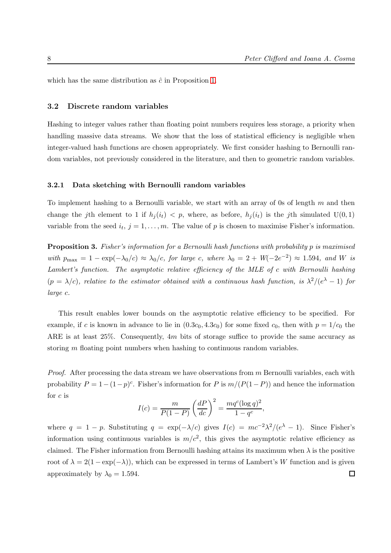<span id="page-7-0"></span>which has the same distribution as  $\hat{c}$  in Proposition [1.](#page-5-0)

### 3.2 Discrete random variables

Hashing to integer values rather than floating point numbers requires less storage, a priority when handling massive data streams. We show that the loss of statistical efficiency is negligible when integer-valued hash functions are chosen appropriately. We first consider hashing to Bernoulli random variables, not previously considered in the literature, and then to geometric random variables.

### 3.2.1 Data sketching with Bernoulli random variables

To implement hashing to a Bernoulli variable, we start with an array of 0s of length  $m$  and then change the jth element to 1 if  $h_i(i_t) < p$ , where, as before,  $h_i(i_t)$  is the jth simulated  $U(0, 1)$ variable from the seed  $i_t$ ,  $j = 1, \ldots, m$ . The value of p is chosen to maximise Fisher's information.

Proposition 3. Fisher's information for a Bernoulli hash functions with probability p is maximised with  $p_{\text{max}} = 1 - \exp(-\lambda_0/c) \approx \lambda_0/c$ , for large c, where  $\lambda_0 = 2 + W(-2e^{-2}) \approx 1.594$ , and W is Lambert's function. The asymptotic relative efficiency of the MLE of c with Bernoulli hashing  $(p = \lambda/c)$ , relative to the estimator obtained with a continuous hash function, is  $\lambda^2/(e^{\lambda} - 1)$  for large c.

This result enables lower bounds on the asymptotic relative efficiency to be specified. For example, if c is known in advance to lie in  $(0.3c_0, 4.3c_0)$  for some fixed  $c_0$ , then with  $p = 1/c_0$  the ARE is at least 25%. Consequently, 4m bits of storage suffice to provide the same accuracy as storing  $m$  floating point numbers when hashing to continuous random variables.

*Proof.* After processing the data stream we have observations from  $m$  Bernoulli variables, each with probability  $P = 1 - (1 - p)^c$ . Fisher's information for P is  $m/(P(1 - P))$  and hence the information for  $c$  is

$$
I(c) = \frac{m}{P(1 - P)} \left(\frac{dP}{dc}\right)^2 = \frac{mq^c (\log q)^2}{1 - q^c},
$$

where  $q = 1 - p$ . Substituting  $q = \exp(-\lambda/c)$  gives  $I(c) = mc^{-2}\lambda^2/(e^{\lambda} - 1)$ . Since Fisher's information using continuous variables is  $m/c^2$ , this gives the asymptotic relative efficiency as claimed. The Fisher information from Bernoulli hashing attains its maximum when  $\lambda$  is the positive root of  $\lambda = 2(1 - \exp(-\lambda))$ , which can be expressed in terms of Lambert's W function and is given approximately by  $\lambda_0 = 1.594$ .  $\Box$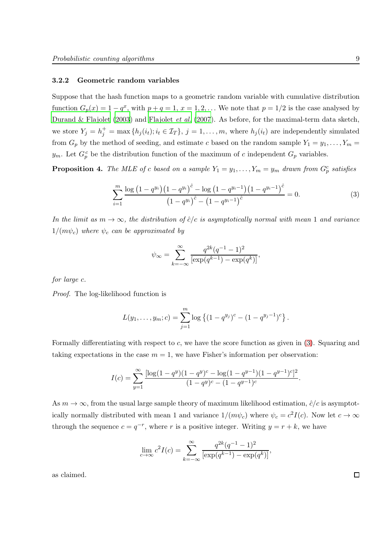#### 3.2.2 Geometric random variables

Suppose that the hash function maps to a geometric random variable with cumulative distribution function  $G_p(x) = 1 - q^x$ , with  $p + q = 1$ ,  $x = 1, 2, \ldots$  We note that  $p = 1/2$  is the case analysed by [Durand & Flajolet \(2003\)](#page-16-4) and [Flajolet](#page-17-4) et al. [\(2007](#page-17-4)). As before, for the maximal-term data sketch, we store  $Y_j = h_j^+ = \max\{h_j(i_t); i_t \in \mathcal{I}_T\}, j = 1, \ldots, m$ , where  $h_j(i_t)$  are independently simulated from  $G_p$  by the method of seeding, and estimate c based on the random sample  $Y_1 = y_1, \ldots, Y_m =$  $y_m$ . Let  $G_p^c$  be the distribution function of the maximum of c independent  $G_p$  variables.

<span id="page-8-1"></span>**Proposition 4.** The MLE of c based on a sample  $Y_1 = y_1, \ldots, Y_m = y_m$  drawn from  $G_p^c$  satisfies

<span id="page-8-0"></span>
$$
\sum_{i=1}^{m} \frac{\log (1 - q^{y_i})(1 - q^{y_i})^{\hat{c}} - \log (1 - q^{y_i - 1})(1 - q^{y_i - 1})^{\hat{c}}}{(1 - q^{y_i})^{\hat{c}} - (1 - q^{y_i - 1})^{\hat{c}}} = 0.
$$
\n(3)

In the limit as  $m \to \infty$ , the distribution of  $\hat{c}/c$  is asymptotically normal with mean 1 and variance  $1/(m\psi_c)$  where  $\psi_c$  can be approximated by

$$
\psi_{\infty} = \sum_{k=-\infty}^{\infty} \frac{q^{2k} (q^{-1} - 1)^2}{\left[\exp(q^{k-1}) - \exp(q^k)\right]},
$$

for large c.

Proof. The log-likelihood function is

$$
L(y_1,\ldots,y_m;c)=\sum_{j=1}^m\log\left\{(1-q^{y_j})^c-(1-q^{y_j-1})^c\right\}.
$$

Formally differentiating with respect to  $c$ , we have the score function as given in  $(3)$ . Squaring and taking expectations in the case  $m = 1$ , we have Fisher's information per observation:

$$
I(c) = \sum_{y=1}^{\infty} \frac{[\log(1-q^y)(1-q^y)^c - \log(1-q^{y-1})(1-q^{y-1})^c]^2}{(1-q^y)^c - (1-q^{y-1})^c}.
$$

As  $m \to \infty$ , from the usual large sample theory of maximum likelihood estimation,  $\hat{c}/c$  is asymptotically normally distributed with mean 1 and variance  $1/(m\psi_c)$  where  $\psi_c = c^2 I(c)$ . Now let  $c \to \infty$ through the sequence  $c = q^{-r}$ , where r is a positive integer. Writing  $y = r + k$ , we have

$$
\lim_{c \to \infty} c^2 I(c) = \sum_{k=-\infty}^{\infty} \frac{q^{2k} (q^{-1} - 1)^2}{[\exp(q^{k-1}) - \exp(q^k)]},
$$

as claimed.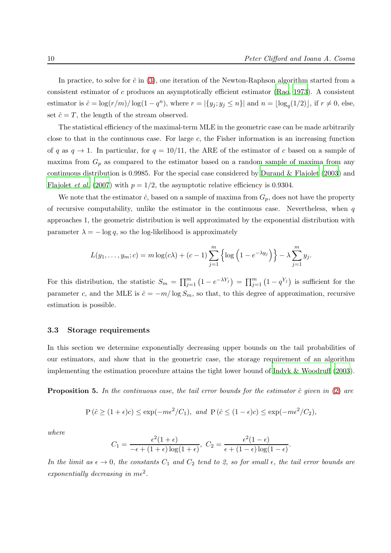In practice, to solve for  $\hat{c}$  in [\(3\)](#page-8-0), one iteration of the Newton-Raphson algorithm started from a consistent estimator of c produces an asymptotically efficient estimator [\(Rao, 1973](#page-18-4)). A consistent estimator is  $\hat{c} = \log(r/m)/\log(1-q^n)$ , where  $r = |\{y_j; y_j \le n\}|$  and  $n = \lfloor \log_q(1/2) \rfloor$ , if  $r \ne 0$ , else, set  $\hat{c} = T$ , the length of the stream observed.

The statistical efficiency of the maximal-term MLE in the geometric case can be made arbitrarily close to that in the continuous case. For large  $c$ , the Fisher information is an increasing function of q as  $q \to 1$ . In particular, for  $q = 10/11$ , the ARE of the estimator of c based on a sample of maxima from  $G_p$  as compared to the estimator based on a random sample of maxima from any continuous distribution is 0.9985. For the special case considered by [Durand & Flajolet \(2003](#page-16-4)) and [Flajolet](#page-17-4) *et al.* [\(2007](#page-17-4)) with  $p = 1/2$ , the asymptotic relative efficiency is 0.9304.

We note that the estimator  $\hat{c}$ , based on a sample of maxima from  $G_p$ , does not have the property of recursive computability, unlike the estimator in the continuous case. Nevertheless, when  $q$ approaches 1, the geometric distribution is well approximated by the exponential distribution with parameter  $\lambda = -\log q$ , so the log-likelihood is approximately

$$
L(y_1,\ldots,y_m;c)=m\log(c\lambda)+(c-1)\sum_{j=1}^m\left\{\log\left(1-e^{-\lambda y_j}\right)\right\}-\lambda\sum_{j=1}^m y_j.
$$

For this distribution, the statistic  $S_m = \prod_{j=1}^m (1 - e^{-\lambda Y_j}) = \prod_{j=1}^m (1 - q^{Y_j})$  is sufficient for the parameter c, and the MLE is  $\hat{c} = -m/\log S_m$ , so that, to this degree of approximation, recursive estimation is possible.

### <span id="page-9-0"></span>3.3 Storage requirements

In this section we determine exponentially decreasing upper bounds on the tail probabilities of our estimators, and show that in the geometric case, the storage requirement of an algorithm implementing the estimation procedure attains the tight lower bound of [Indyk & Woodruff \(2003](#page-17-6)).

<span id="page-9-1"></span>**Proposition 5.** In the continuous case, the tail error bounds for the estimator  $\hat{c}$  given in [\(2\)](#page-6-1) are

$$
P(\hat{c} \ge (1+\epsilon)c) \le \exp(-m\epsilon^2/C_1)
$$
, and  $P(\hat{c} \le (1-\epsilon)c) \le \exp(-m\epsilon^2/C_2)$ ,

where

$$
C_1 = \frac{\epsilon^2 (1+\epsilon)}{-\epsilon + (1+\epsilon) \log(1+\epsilon)}, \ C_2 = \frac{\epsilon^2 (1-\epsilon)}{\epsilon + (1-\epsilon) \log(1-\epsilon)}.
$$

In the limit as  $\epsilon \to 0$ , the constants  $C_1$  and  $C_2$  tend to 2, so for small  $\epsilon$ , the tail error bounds are exponentially decreasing in  $m\epsilon^2$ .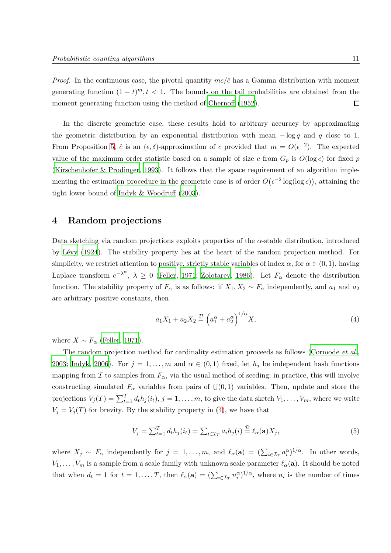*Proof.* In the continuous case, the pivotal quantity  $mc/\hat{c}$  has a Gamma distribution with moment generating function  $(1-t)^m, t < 1$ . The bounds on the tail probabilities are obtained from the moment generating function using the method of [Chernoff \(1952](#page-16-10)).  $\Box$ 

In the discrete geometric case, these results hold to arbitrary accuracy by approximating the geometric distribution by an exponential distribution with mean  $-\log q$  and q close to 1. From Proposition [5,](#page-9-1)  $\hat{c}$  is an  $(\epsilon, \delta)$ -approximation of c provided that  $m = O(\epsilon^{-2})$ . The expected value of the maximum order statistic based on a sample of size c from  $G_p$  is  $O(\log c)$  for fixed p [\(Kirschenhofer & Prodinger, 1993](#page-17-11)). It follows that the space requirement of an algorithm implementing the estimation procedure in the geometric case is of order  $O(\epsilon^{-2} \log(\log c))$ , attaining the tight lower bound of [Indyk & Woodruff \(2003](#page-17-6)).

### <span id="page-10-0"></span>4 Random projections

Data sketching via random projections exploits properties of the  $\alpha$ -stable distribution, introduced by Lévy (1924). The stability property lies at the heart of the random projection method. For simplicity, we restrict attention to positive, strictly stable variables of index  $\alpha$ , for  $\alpha \in (0,1)$ , having Laplace transform  $e^{-\lambda^{\alpha}}$ ,  $\lambda \geq 0$  [\(Feller](#page-16-11), [1971;](#page-16-11) [Zolotarev, 1986](#page-18-6)). Let  $F_{\alpha}$  denote the distribution function. The stability property of  $F_{\alpha}$  is as follows: if  $X_1, X_2 \sim F_{\alpha}$  independently, and  $a_1$  and  $a_2$ are arbitrary positive constants, then

<span id="page-10-1"></span>
$$
a_1 X_1 + a_2 X_2 \stackrel{\mathcal{D}}{=} \left( a_1^{\alpha} + a_2^{\alpha} \right)^{1/\alpha} X, \tag{4}
$$

where  $X \sim F_{\alpha}$  [\(Feller](#page-16-11), [1971](#page-16-11)).

The random projection method for cardinality estimation proceeds as follows [\(Cormode](#page-16-2) *et al.*, [2003](#page-16-2); [Indyk, 2006](#page-17-5)). For  $j = 1, ..., m$  and  $\alpha \in (0, 1)$  fixed, let  $h_j$  be independent hash functions mapping from I to samples from  $F_{\alpha}$ , via the usual method of seeding; in practice, this will involve constructing simulated  $F_{\alpha}$  variables from pairs of  $U(0, 1)$  variables. Then, update and store the projections  $V_j(T) = \sum_{t=1}^T d_t h_j(i_t), j = 1, \ldots, m$ , to give the data sketch  $V_1, \ldots, V_m$ , where we write  $V_j = V_j(T)$  for brevity. By the stability property in [\(4\)](#page-10-1), we have that

<span id="page-10-2"></span>
$$
V_j = \sum_{t=1}^T d_t h_j(i_t) = \sum_{i \in \mathcal{I}_T} a_i h_j(i) \stackrel{\mathcal{D}}{=} \ell_\alpha(\mathbf{a}) X_j,\tag{5}
$$

where  $X_j \sim F_\alpha$  independently for  $j = 1, \ldots, m$ , and  $\ell_\alpha(\mathbf{a}) = (\sum_{i \in \mathcal{I}_T} a_i^\alpha)^{1/\alpha}$ . In other words,  $V_1, \ldots, V_m$  is a sample from a scale family with unknown scale parameter  $\ell_{\alpha}(\mathbf{a})$ . It should be noted that when  $d_t = 1$  for  $t = 1, ..., T$ , then  $\ell_{\alpha}(\mathbf{a}) = \left(\sum_{i \in \mathcal{I}_T} n_i^{\alpha}\right)^{1/\alpha}$ , where  $n_i$  is the number of times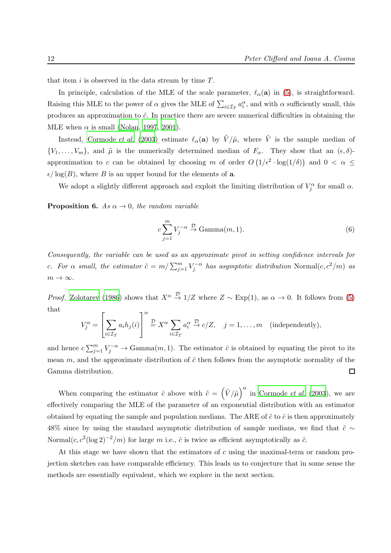that item i is observed in the data stream by time  $T$ .

In principle, calculation of the MLE of the scale parameter,  $\ell_{\alpha}(\mathbf{a})$  in [\(5\)](#page-10-2), is straightforward. Raising this MLE to the power of  $\alpha$  gives the MLE of  $\sum_{i\in\mathcal{I}_T} a_i^{\alpha}$ , and with  $\alpha$  sufficiently small, this produces an approximation to  $\hat{c}$ . In practice there are severe numerical difficulties in obtaining the MLE when  $\alpha$  is small [\(Nolan, 1997](#page-18-7), [2001\)](#page-18-8).

Instead, [Cormode](#page-16-2) et al. [\(2003](#page-16-2)) estimate  $\ell_{\alpha}(\mathbf{a})$  by  $\tilde{V}/\tilde{\mu}$ , where  $\tilde{V}$  is the sample median of  $\{V_1,\ldots,V_m\}$ , and  $\tilde{\mu}$  is the numerically determined median of  $F_{\alpha}$ . They show that an  $(\epsilon,\delta)$ approximation to c can be obtained by choosing m of order  $O(1/\epsilon^2 \cdot \log(1/\delta))$  and  $0 < \alpha \le$  $\epsilon/\log(B)$ , where B is an upper bound for the elements of a.

We adopt a slightly different approach and exploit the limiting distribution of  $V_j^{\alpha}$  for small  $\alpha$ .

<span id="page-11-0"></span>**Proposition 6.** As  $\alpha \rightarrow 0$ , the random variable

$$
c\sum_{j=1}^{m}V_j^{-\alpha} \stackrel{\mathcal{D}}{\rightarrow} \text{Gamma}(m, 1). \tag{6}
$$

Consequently, the variable can be used as an approximate pivot in setting confidence intervals for c. For  $\alpha$  small, the estimator  $\hat{c} = m/\sum_{j=1}^{m} V_j^{-\alpha}$  has asymptotic distribution Normal $(c, c^2/m)$  as  $m \to \infty$ .

*Proof.* [Zolotarev \(1986](#page-18-6)) shows that  $X^{\alpha} \stackrel{\mathcal{D}}{\rightarrow} 1/Z$  where  $Z \sim \text{Exp}(1)$ , as  $\alpha \rightarrow 0$ . It follows from [\(5\)](#page-10-2) that

$$
V_j^{\alpha} = \left[\sum_{i \in \mathcal{I}_T} a_i h_j(i)\right]^{\alpha} \stackrel{\mathcal{D}}{=} X^{\alpha} \sum_{i \in \mathcal{I}_T} a_i^{\alpha} \stackrel{\mathcal{D}}{\rightarrow} c/Z, \quad j = 1, \dots, m \quad \text{(independently)},
$$

and hence  $c \sum_{j=1}^m V_j^{-\alpha} \to \text{Gamma}(m, 1)$ . The estimator  $\hat{c}$  is obtained by equating the pivot to its mean  $m$ , and the approximate distribution of  $\hat{c}$  then follows from the asymptotic normality of the  $\Box$ Gamma distribution.

When comparing the estimator  $\hat{c}$  above with  $\tilde{c} = (\tilde{V}/\tilde{\mu})^{\alpha}$  in [Cormode](#page-16-2) *et al.* [\(2003](#page-16-2)), we are effectively comparing the MLE of the parameter of an exponential distribution with an estimator obtained by equating the sample and population medians. The ARE of  $\tilde{c}$  to  $\tilde{c}$  is then approximately 48% since by using the standard asymptotic distribution of sample medians, we find that  $\tilde{c} \sim$ Normal $(c, c^2(\log 2)^{-2}/m)$  for large m i.e.,  $\hat{c}$  is twice as efficient asymptotically as  $\tilde{c}$ .

At this stage we have shown that the estimators of  $c$  using the maximal-term or random projection sketches can have comparable efficiency. This leads us to conjecture that in some sense the methods are essentially equivalent, which we explore in the next section.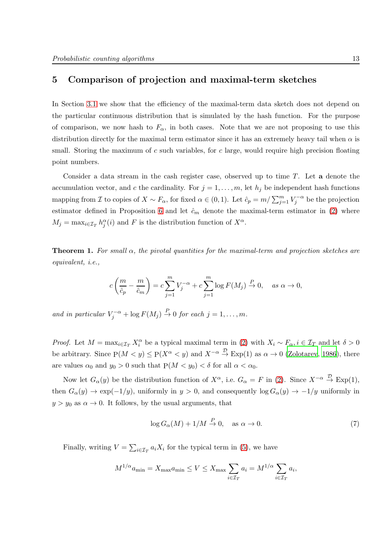# <span id="page-12-0"></span>5 Comparison of projection and maximal-term sketches

In Section [3.1](#page-4-2) we show that the efficiency of the maximal-term data sketch does not depend on the particular continuous distribution that is simulated by the hash function. For the purpose of comparison, we now hash to  $F_{\alpha}$ , in both cases. Note that we are not proposing to use this distribution directly for the maximal term estimator since it has an extremely heavy tail when  $\alpha$  is small. Storing the maximum of c such variables, for c large, would require high precision floating point numbers.

Consider a data stream in the cash register case, observed up to time  $T$ . Let a denote the accumulation vector, and c the cardinality. For  $j = 1, \ldots, m$ , let  $h_j$  be independent hash functions mapping from *I* to copies of  $X \sim F_\alpha$ , for fixed  $\alpha \in (0,1)$ . Let  $\hat{c}_p = m / \sum_{j=1}^m V_j^{-\alpha}$  be the projection estimator defined in Proposition [6](#page-11-0) and let  $\hat{c}_m$  denote the maximal-term estimator in [\(2\)](#page-6-1) where  $M_j = \max_{i \in \mathcal{I}_T} h_j^{\alpha}(i)$  and F is the distribution function of  $X^{\alpha}$ .

<span id="page-12-2"></span>**Theorem 1.** For small  $\alpha$ , the pivotal quantities for the maximal-term and projection sketches are equivalent, i.e.,

$$
c\left(\frac{m}{\hat{c}_p} - \frac{m}{\hat{c}_m}\right) = c \sum_{j=1}^m V_j^{-\alpha} + c \sum_{j=1}^m \log F(M_j) \stackrel{P}{\to} 0, \quad \text{as } \alpha \to 0,
$$

and in particular  $V_j^{-\alpha} + \log F(M_j) \stackrel{P}{\to} 0$  for each  $j = 1, \ldots, m$ .

*Proof.* Let  $M = \max_{i \in \mathcal{I}_T} X_i^{\alpha}$  be a typical maximal term in [\(2\)](#page-6-1) with  $X_i \sim F_{\alpha}, i \in \mathcal{I}_T$  and let  $\delta > 0$ be arbitrary. Since  $P(M < y) \le P(X^{\alpha} < y)$  and  $X^{-\alpha} \stackrel{\mathcal{D}}{\rightarrow} \text{Exp}(1)$  as  $\alpha \rightarrow 0$  [\(Zolotarev](#page-18-6), [1986](#page-18-6)), there are values  $\alpha_0$  and  $y_0 > 0$  such that  $P(M < y_0) < \delta$  for all  $\alpha < \alpha_0$ .

Now let  $G_{\alpha}(y)$  be the distribution function of  $X^{\alpha}$ , i.e.  $G_{\alpha} = F$  in [\(2\)](#page-6-1). Since  $X^{-\alpha} \stackrel{\mathcal{D}}{\rightarrow} \text{Exp}(1)$ , then  $G_{\alpha}(y) \to \exp(-1/y)$ , uniformly in  $y > 0$ , and consequently log  $G_{\alpha}(y) \to -1/y$  uniformly in  $y > y_0$  as  $\alpha \to 0$ . It follows, by the usual arguments, that

<span id="page-12-1"></span>
$$
\log G_{\alpha}(M) + 1/M \xrightarrow{P} 0, \quad \text{as } \alpha \to 0. \tag{7}
$$

Finally, writing  $V = \sum_{i \in \mathcal{I}_T} a_i X_i$  for the typical term in [\(5\)](#page-10-2), we have

$$
M^{1/\alpha} a_{\min} = X_{\max} a_{\min} \le V \le X_{\max} \sum_{i \in \mathcal{I}_T} a_i = M^{1/\alpha} \sum_{i \in \mathcal{I}_T} a_i,
$$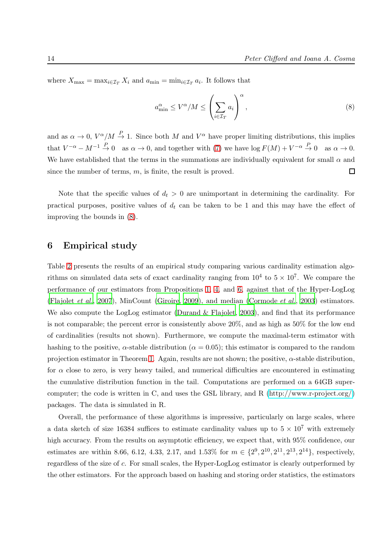where  $X_{\text{max}} = \max_{i \in I_T} X_i$  and  $a_{\text{min}} = \min_{i \in I_T} a_i$ . It follows that

<span id="page-13-1"></span>
$$
a_{\min}^{\alpha} \le V^{\alpha}/M \le \left(\sum_{i \in \mathcal{I}_T} a_i\right)^{\alpha},\tag{8}
$$

and as  $\alpha \to 0$ ,  $V^{\alpha}/M \to 1$ . Since both M and  $V^{\alpha}$  have proper limiting distributions, this implies that  $V^{-\alpha} - M^{-1} \stackrel{P}{\to} 0$  as  $\alpha \to 0$ , and together with [\(7\)](#page-12-1) we have  $\log F(M) + V^{-\alpha} \stackrel{P}{\to} 0$  as  $\alpha \to 0$ . We have established that the terms in the summations are individually equivalent for small  $\alpha$  and since the number of terms,  $m$ , is finite, the result is proved.  $\Box$ 

Note that the specific values of  $d_t > 0$  are unimportant in determining the cardinality. For practical purposes, positive values of  $d_t$  can be taken to be 1 and this may have the effect of improving the bounds in [\(8\)](#page-13-1).

# <span id="page-13-0"></span>6 Empirical study

Table [2](#page-14-1) presents the results of an empirical study comparing various cardinality estimation algorithms on simulated data sets of exact cardinality ranging from  $10^4$  to  $5 \times 10^7$ . We compare the performance of our estimators from Propositions [1,](#page-5-0) [4,](#page-8-1) and [6,](#page-11-0) against that of the Hyper-LogLog [\(Flajolet](#page-17-4) et al., [2007](#page-17-4)), MinCount [\(Giroire, 2009\)](#page-17-1), and median [\(Cormode](#page-16-2) et al., [2003](#page-16-2)) estimators. We also compute the LogLog estimator (Durand  $&$  Flajolet, [2003\)](#page-16-4), and find that its performance is not comparable; the percent error is consistently above 20%, and as high as 50% for the low end of cardinalities (results not shown). Furthermore, we compute the maximal-term estimator with hashing to the positive,  $\alpha$ -stable distribution ( $\alpha = 0.05$ ); this estimator is compared to the random projection estimator in Theorem [1.](#page-12-2) Again, results are not shown; the positive,  $\alpha$ -stable distribution, for  $\alpha$  close to zero, is very heavy tailed, and numerical difficulties are encountered in estimating the cumulative distribution function in the tail. Computations are performed on a 64GB supercomputer; the code is written in C, and uses the GSL library, and R [\(http://www.r-project.org/\)](http://www.r-project.org/) packages. The data is simulated in R.

Overall, the performance of these algorithms is impressive, particularly on large scales, where a data sketch of size 16384 suffices to estimate cardinality values up to  $5 \times 10^7$  with extremely high accuracy. From the results on asymptotic efficiency, we expect that, with 95% confidence, our estimates are within 8.66, 6.12, 4.33, 2.17, and 1.53% for  $m \in \{2^9, 2^{10}, 2^{11}, 2^{13}, 2^{14}\}$ , respectively, regardless of the size of c. For small scales, the Hyper-LogLog estimator is clearly outperformed by the other estimators. For the approach based on hashing and storing order statistics, the estimators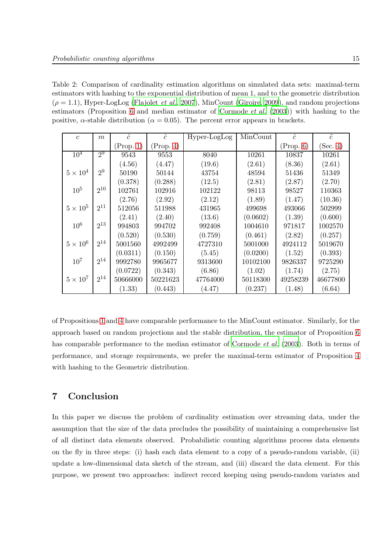<span id="page-14-1"></span>Table 2: Comparison of cardinality estimation algorithms on simulated data sets: maximal-term estimators with hashing to the exponential distribution of mean 1, and to the geometric distribution  $(\rho = 1.1)$ , Hyper-LogLog [\(Flajolet](#page-17-4) *et al.*, [2007\)](#page-17-4), MinCount [\(Giroire](#page-17-1), [2009](#page-17-1)), and random projections estimators (Proposition [6](#page-11-0) and median estimator of [Cormode](#page-16-2) et al. [\(2003](#page-16-2))) with hashing to the positive,  $\alpha$ -stable distribution ( $\alpha = 0.05$ ). The percent error appears in brackets.

| $\mathfrak{c}$  | m        | $\hat{c}$ | $\hat{c}$ | Hyper-LogLog | MinCount | $\hat{c}$ | $\tilde{c}$ |
|-----------------|----------|-----------|-----------|--------------|----------|-----------|-------------|
|                 |          | (Prop. 1) | (Prop. 4) |              |          | (Prop. 6) | (Sec. 4)    |
| $10^{4}$        | $2^9$    | 9543      | 9553      | 8040         | 10261    | 10837     | 10261       |
|                 |          | (4.56)    | (4.47)    | (19.6)       | (2.61)   | (8.36)    | (2.61)      |
| $5\times10^4$   | $2^9$    | 50190     | 50144     | 43754        | 48594    | 51436     | 51349       |
|                 |          | (0.378)   | (0.288)   | (12.5)       | (2.81)   | (2.87)    | (2.70)      |
| $10^{5}$        | $2^{10}$ | 102761    | 102916    | 102122       | 98113    | 98527     | 110363      |
|                 |          | (2.76)    | (2.92)    | (2.12)       | (1.89)   | (1.47)    | (10.36)     |
| $5 \times 10^5$ | $2^{11}$ | 512056    | 511988    | 431965       | 499698   | 493066    | 502999      |
|                 |          | (2.41)    | (2.40)    | (13.6)       | (0.0602) | (1.39)    | (0.600)     |
| 10 <sup>6</sup> | $2^{13}$ | 994803    | 994702    | 992408       | 1004610  | 971817    | 1002570     |
|                 |          | (0.520)   | (0.530)   | (0.759)      | (0.461)  | (2.82)    | (0.257)     |
| $5 \times 10^6$ | $2^{14}$ | 5001560   | 4992499   | 4727310      | 5001000  | 4924112   | 5019670     |
|                 |          | (0.0311)  | (0.150)   | (5.45)       | (0.0200) | (1.52)    | (0.393)     |
| $10^{7}$        | $2^{14}$ | 9992780   | 9965677   | 9313600      | 10102100 | 9826337   | 9725290     |
|                 |          | (0.0722)  | (0.343)   | (6.86)       | (1.02)   | (1.74)    | (2.75)      |
| $5 \times 10^7$ | $2^{14}$ | 50666000  | 50221623  | 47764000     | 50118300 | 49258239  | 46677800    |
|                 |          | (1.33)    | (0.443)   | (4.47)       | (0.237)  | (1.48)    | (6.64)      |

of Propositions [1](#page-5-0) and [4](#page-8-1) have comparable performance to the MinCount estimator. Similarly, for the approach based on random projections and the stable distribution, the estimator of Proposition [6](#page-11-0) has comparable performance to the median estimator of [Cormode](#page-16-2) *et al.* [\(2003](#page-16-2)). Both in terms of performance, and storage requirements, we prefer the maximal-term estimator of Proposition [4](#page-8-1) with hashing to the Geometric distribution.

# <span id="page-14-0"></span>7 Conclusion

In this paper we discuss the problem of cardinality estimation over streaming data, under the assumption that the size of the data precludes the possibility of maintaining a comprehensive list of all distinct data elements observed. Probabilistic counting algorithms process data elements on the fly in three steps: (i) hash each data element to a copy of a pseudo-random variable, (ii) update a low-dimensional data sketch of the stream, and (iii) discard the data element. For this purpose, we present two approaches: indirect record keeping using pseudo-random variates and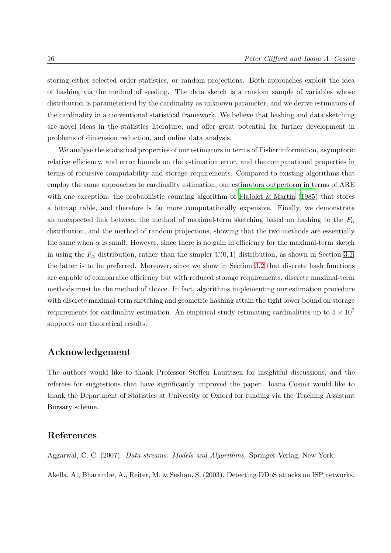storing either selected order statistics, or random projections. Both approaches exploit the idea of hashing via the method of seeding. The data sketch is a random sample of variables whose distribution is parameterised by the cardinality as unknown parameter, and we derive estimators of the cardinality in a conventional statistical framework. We believe that hashing and data sketching are novel ideas in the statistics literature, and offer great potential for further development in problems of dimension reduction, and online data analysis.

We analyse the statistical properties of our estimators in terms of Fisher information, asymptotic relative efficiency, and error bounds on the estimation error, and the computational properties in terms of recursive computability and storage requirements. Compared to existing algorithms that employ the same approaches to cardinality estimation, our estimators outperform in terms of ARE with one exception: the probabilistic counting algorithm of Flajolet  $\&$  Martin (1985) that stores a bitmap table, and therefore is far more computationally expensive. Finally, we demonstrate an unexpected link between the method of maximal-term sketching based on hashing to the  $F_{\alpha}$ distribution, and the method of random projections, showing that the two methods are essentially the same when  $\alpha$  is small. However, since there is no gain in efficiency for the maximal-term sketch in using the  $F_{\alpha}$  distribution, rather than the simpler  $U(0, 1)$  distribution, as shown in Section [3.1,](#page-4-2) the latter is to be preferred. Moreover, since we show in Section [3.2](#page-7-0) that discrete hash functions are capable of comparable efficiency but with reduced storage requirements, discrete maximal-term methods must be the method of choice. In fact, algorithms implementing our estimation procedure with discrete maximal-term sketching and geometric hashing attain the tight lower bound on storage requirements for cardinality estimation. An empirical study estimating cardinalities up to  $5 \times 10^7$ supports our theoretical results.

### Acknowledgement

The authors would like to thank Professor Steffen Lauritzen for insightful discussions, and the referees for suggestions that have significantly improved the paper. Ioana Cosma would like to thank the Department of Statistics at University of Oxford for funding via the Teaching Assistant Bursary scheme.

# References

<span id="page-15-0"></span>Aggarwal, C. C. (2007). Data streams: Models and Algorithms. Springer-Verlag, New York.

<span id="page-15-1"></span>Akella, A., Bharambe, A., Reiter, M. & Seshan, S. (2003). Detecting DDoS attacks on ISP networks.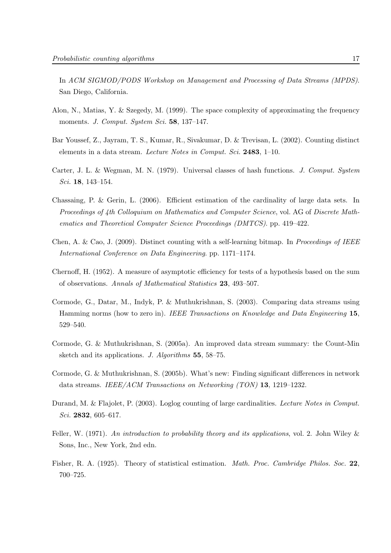In ACM SIGMOD/PODS Workshop on Management and Processing of Data Streams (MPDS). San Diego, California.

- <span id="page-16-7"></span>Alon, N., Matias, Y. & Szegedy, M. (1999). The space complexity of approximating the frequency moments. J. Comput. System Sci. 58, 137-147.
- <span id="page-16-8"></span>Bar Youssef, Z., Jayram, T. S., Kumar, R., Sivakumar, D. & Trevisan, L. (2002). Counting distinct elements in a data stream. Lecture Notes in Comput. Sci. 2483, 1–10.
- <span id="page-16-3"></span>Carter, J. L. & Wegman, M. N. (1979). Universal classes of hash functions. J. Comput. System Sci. 18, 143–154.
- <span id="page-16-6"></span>Chassaing, P. & Gerin, L. (2006). Efficient estimation of the cardinality of large data sets. In Proceedings of 4th Colloquium on Mathematics and Computer Science, vol. AG of Discrete Mathematics and Theoretical Computer Science Proceedings (DMTCS). pp. 419–422.
- <span id="page-16-5"></span>Chen, A. & Cao, J. (2009). Distinct counting with a self-learning bitmap. In Proceedings of IEEE International Conference on Data Engineering. pp. 1171–1174.
- <span id="page-16-10"></span>Chernoff, H. (1952). A measure of asymptotic efficiency for tests of a hypothesis based on the sum of observations. Annals of Mathematical Statistics 23, 493–507.
- <span id="page-16-2"></span>Cormode, G., Datar, M., Indyk, P. & Muthukrishnan, S. (2003). Comparing data streams using Hamming norms (how to zero in). IEEE Transactions on Knowledge and Data Engineering 15, 529–540.
- <span id="page-16-1"></span>Cormode, G. & Muthukrishnan, S. (2005a). An improved data stream summary: the Count-Min sketch and its applications. J. Algorithms 55, 58–75.
- <span id="page-16-0"></span>Cormode, G. & Muthukrishnan, S. (2005b). What's new: Finding significant differences in network data streams. IEEE/ACM Transactions on Networking  $(TON)$  13, 1219–1232.
- <span id="page-16-4"></span>Durand, M. & Flajolet, P. (2003). Loglog counting of large cardinalities. Lecture Notes in Comput. Sci. 2832, 605–617.
- <span id="page-16-11"></span>Feller, W. (1971). An introduction to probability theory and its applications, vol. 2. John Wiley  $\&$ Sons, Inc., New York, 2nd edn.
- <span id="page-16-9"></span>Fisher, R. A. (1925). Theory of statistical estimation. *Math. Proc. Cambridge Philos. Soc.* 22, 700–725.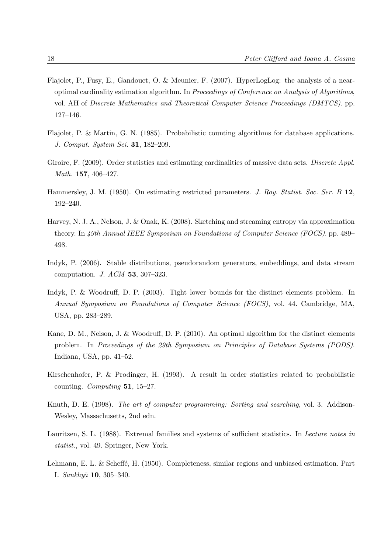- <span id="page-17-4"></span>Flajolet, P., Fusy, E., Gandouet, O. & Meunier, F. (2007). HyperLogLog: the analysis of a nearoptimal cardinality estimation algorithm. In Proceedings of Conference on Analysis of Algorithms, vol. AH of Discrete Mathematics and Theoretical Computer Science Proceedings (DMTCS). pp. 127–146.
- <span id="page-17-2"></span>Flajolet, P. & Martin, G. N. (1985). Probabilistic counting algorithms for database applications. J. Comput. System Sci. 31, 182–209.
- <span id="page-17-1"></span>Giroire, F. (2009). Order statistics and estimating cardinalities of massive data sets. Discrete Appl. Math. 157, 406–427.
- <span id="page-17-8"></span>Hammersley, J. M. (1950). On estimating restricted parameters. J. Roy. Statist. Soc. Ser. B 12, 192–240.
- <span id="page-17-0"></span>Harvey, N. J. A., Nelson, J. & Onak, K. (2008). Sketching and streaming entropy via approximation theory. In 49th Annual IEEE Symposium on Foundations of Computer Science (FOCS). pp. 489– 498.
- <span id="page-17-5"></span>Indyk, P. (2006). Stable distributions, pseudorandom generators, embeddings, and data stream computation. J. ACM 53, 307–323.
- <span id="page-17-6"></span>Indyk, P. & Woodruff, D. P. (2003). Tight lower bounds for the distinct elements problem. In Annual Symposium on Foundations of Computer Science (FOCS), vol. 44. Cambridge, MA, USA, pp. 283–289.
- <span id="page-17-7"></span>Kane, D. M., Nelson, J. & Woodruff, D. P. (2010). An optimal algorithm for the distinct elements problem. In Proceedings of the 29th Symposium on Principles of Database Systems (PODS). Indiana, USA, pp. 41–52.
- <span id="page-17-11"></span>Kirschenhofer, P. & Prodinger, H. (1993). A result in order statistics related to probabilistic counting. Computing 51, 15–27.
- <span id="page-17-3"></span>Knuth, D. E. (1998). The art of computer programming: Sorting and searching, vol. 3. Addison-Wesley, Massachusetts, 2nd edn.
- <span id="page-17-9"></span>Lauritzen, S. L. (1988). Extremal families and systems of sufficient statistics. In Lecture notes in statist., vol. 49. Springer, New York.
- <span id="page-17-10"></span>Lehmann, E. L. & Scheffé, H. (1950). Completeness, similar regions and unbiased estimation. Part I.  $Sankhy\bar{a}$  10, 305–340.